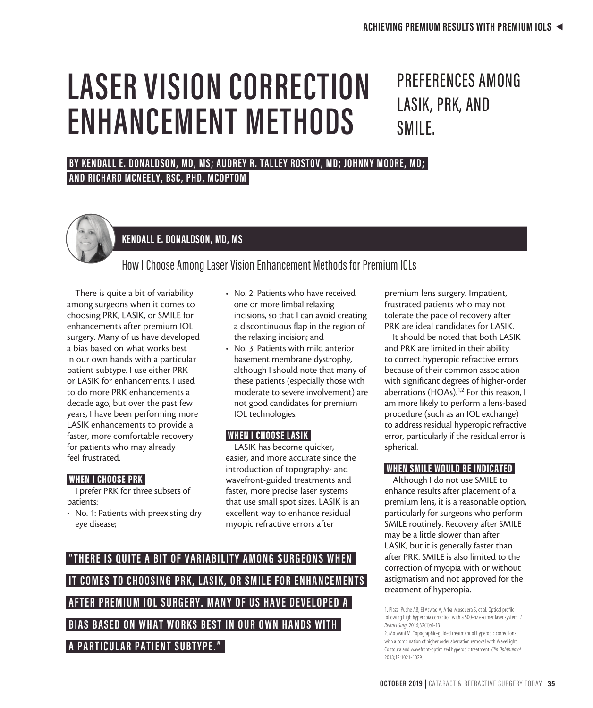# **LASER VISION CORRECTION ENHANCEMENT METHODS**

# PREFERENCES AMONG LASIK, PRK, AND SMILE.

# **BY KENDALL E. DONALDSON, MD, MS; AUDREY R. TALLEY ROSTOV, MD; JOHNNY MOORE, MD; AND RICHARD MCNEELY, BSC, PHD, MCOPTOM**



# **KENDALL E. DONALDSON, MD, MS**

How I Choose Among Laser Vision Enhancement Methods for Premium IOLs

There is quite a bit of variability among surgeons when it comes to choosing PRK, LASIK, or SMILE for enhancements after premium IOL surgery. Many of us have developed a bias based on what works best in our own hands with a particular patient subtype. I use either PRK or LASIK for enhancements. I used to do more PRK enhancements a decade ago, but over the past few years, I have been performing more LASIK enhancements to provide a faster, more comfortable recovery for patients who may already feel frustrated.

## WHEN I CHOOSE PRK

I prefer PRK for three subsets of patients:

• No. 1: Patients with preexisting dry eye disease;

- No. 2: Patients who have received one or more limbal relaxing incisions, so that I can avoid creating a discontinuous flap in the region of the relaxing incision; and
- No. 3: Patients with mild anterior basement membrane dystrophy, although I should note that many of these patients (especially those with moderate to severe involvement) are not good candidates for premium IOL technologies.

## WHEN I CHOOSE LASIK

LASIK has become quicker, easier, and more accurate since the introduction of topography- and wavefront-guided treatments and faster, more precise laser systems that use small spot sizes. LASIK is an excellent way to enhance residual myopic refractive errors after

# "THERE IS QUITE A BIT OF VARIABILITY AMONG SURGEONS WHEN **IT COMES TO CHOOSING PRK, LASIK, OR SMILE FOR ENHANCEMENTS AFTER PREMIUM IOL SURGERY. MANY OF US HAVE DEVELOPED A BIAS BASED ON WHAT WORKS BEST IN OUR OWN HANDS WITH A PARTICULAR PATIENT SUBTYPE."**

premium lens surgery. Impatient, frustrated patients who may not tolerate the pace of recovery after PRK are ideal candidates for LASIK.

It should be noted that both LASIK and PRK are limited in their ability to correct hyperopic refractive errors because of their common association with significant degrees of higher-order aberrations (HOAs).<sup>1,2</sup> For this reason, I am more likely to perform a lens-based procedure (such as an IOL exchange) to address residual hyperopic refractive error, particularly if the residual error is spherical.

# WHEN SMILE WOULD BE INDICATED

Although I do not use SMILE to enhance results after placement of a premium lens, it is a reasonable option, particularly for surgeons who perform SMILE routinely. Recovery after SMILE may be a little slower than after LASIK, but it is generally faster than after PRK. SMILE is also limited to the correction of myopia with or without astigmatism and not approved for the treatment of hyperopia.

1. Plaza-Puche AB, El Aswad A, Arba-Mosquera S, et al. Optical profile following high hyperopia correction with a 500-hz excimer laser system. *J Refract Surg.* 2016;32(1):6-13.

2. Motwani M. Topographic-guided treatment of hyperopic corrections with a combination of higher order aberration removal with WaveLight Contoura and wavefront-optimized hyperopic treatment. *Clin Ophthalmol.* 2018;12:1021-1029.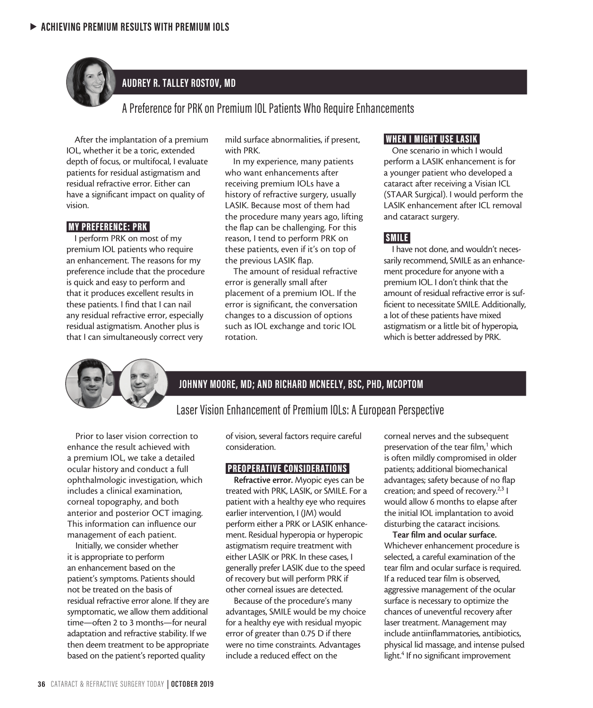

# **AUDREY R. TALLEY ROSTOV, MD**

# A Preference for PRK on Premium IOL Patients Who Require Enhancements

After the implantation of a premium IOL, whether it be a toric, extended depth of focus, or multifocal, I evaluate patients for residual astigmatism and residual refractive error. Either can have a significant impact on quality of vision.

#### MY PREFERENCE: PRK

I perform PRK on most of my premium IOL patients who require an enhancement. The reasons for my preference include that the procedure is quick and easy to perform and that it produces excellent results in these patients. I find that I can nail any residual refractive error, especially residual astigmatism. Another plus is that I can simultaneously correct very

mild surface abnormalities, if present, with PRK.

In my experience, many patients who want enhancements after receiving premium IOLs have a history of refractive surgery, usually LASIK. Because most of them had the procedure many years ago, lifting the flap can be challenging. For this reason, I tend to perform PRK on these patients, even if it's on top of the previous LASIK flap.

The amount of residual refractive error is generally small after placement of a premium IOL. If the error is significant, the conversation changes to a discussion of options such as IOL exchange and toric IOL rotation.

#### WHEN I MIGHT USE LASIK

One scenario in which I would perform a LASIK enhancement is for a younger patient who developed a cataract after receiving a Visian ICL (STAAR Surgical). I would perform the LASIK enhancement after ICL removal and cataract surgery.

#### SMILE

I have not done, and wouldn't necessarily recommend, SMILE as an enhancement procedure for anyone with a premium IOL. I don't think that the amount of residual refractive error is sufficient to necessitate SMILE. Additionally, a lot of these patients have mixed astigmatism or a little bit of hyperopia, which is better addressed by PRK.



## **JOHNNY MOORE, MD; AND RICHARD MCNEELY, BSC, PHD, MCOPTOM**

# Laser Vision Enhancement of Premium IOLs: A European Perspective

Prior to laser vision correction to enhance the result achieved with a premium IOL, we take a detailed ocular history and conduct a full ophthalmologic investigation, which includes a clinical examination, corneal topography, and both anterior and posterior OCT imaging. This information can influence our management of each patient.

Initially, we consider whether it is appropriate to perform an enhancement based on the patient's symptoms. Patients should not be treated on the basis of residual refractive error alone. If they are symptomatic, we allow them additional time—often 2 to 3 months—for neural adaptation and refractive stability. If we then deem treatment to be appropriate based on the patient's reported quality

of vision, several factors require careful consideration.

#### PREOPERATIVE CONSIDERATIONS

Refractive error. Myopic eyes can be treated with PRK, LASIK, or SMILE. For a patient with a healthy eye who requires earlier intervention, I (JM) would perform either a PRK or LASIK enhancement. Residual hyperopia or hyperopic astigmatism require treatment with either LASIK or PRK. In these cases, I generally prefer LASIK due to the speed of recovery but will perform PRK if other corneal issues are detected.

Because of the procedure's many advantages, SMILE would be my choice for a healthy eye with residual myopic error of greater than 0.75 D if there were no time constraints. Advantages include a reduced effect on the

corneal nerves and the subsequent preservation of the tear film,<sup>1</sup> which is often mildly compromised in older patients; additional biomechanical advantages; safety because of no flap creation; and speed of recovery.2,3 I would allow 6 months to elapse after the initial IOL implantation to avoid disturbing the cataract incisions.

Tear film and ocular surface. Whichever enhancement procedure is selected, a careful examination of the tear film and ocular surface is required. If a reduced tear film is observed, aggressive management of the ocular surface is necessary to optimize the chances of uneventful recovery after laser treatment. Management may include antiinflammatories, antibiotics, physical lid massage, and intense pulsed light.<sup>4</sup> If no significant improvement